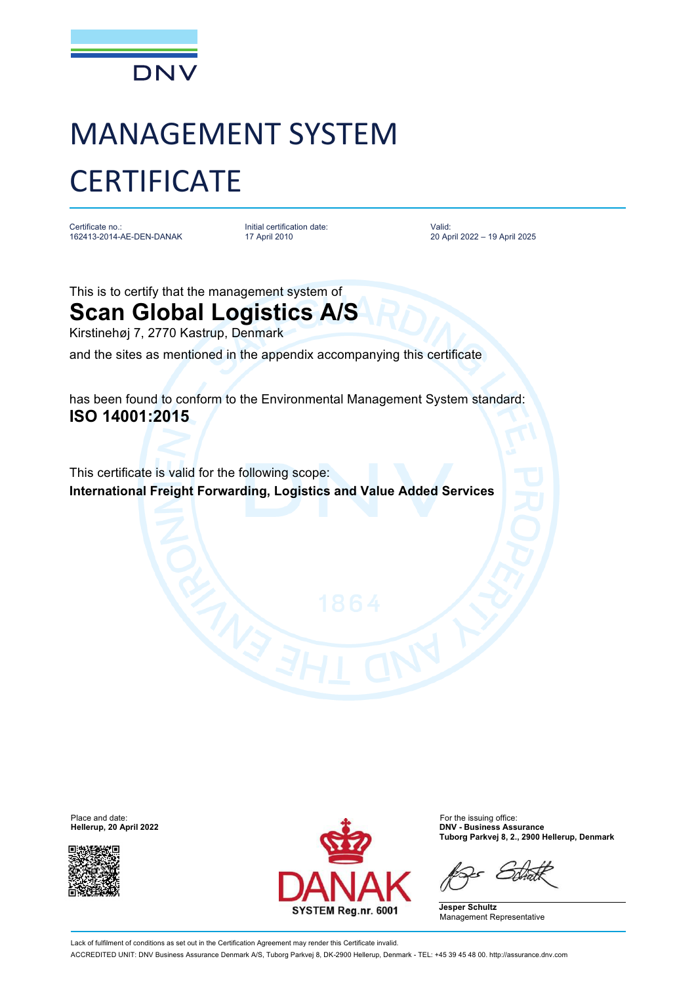

## MANAGEMENT SYSTEM **CERTIFICATE**

Certificate no.: 162413-2014-AE-DEN-DANAK Initial certification date: 17 April 2010

Valid: 20 April 2022 – 19 April 2025

This is to certify that the management system of

## **Scan Global Logistics A/S**

Kirstinehøj 7, 2770 Kastrup, Denmark

and the sites as mentioned in the appendix accompanying this certificate

has been found to conform to the Environmental Management System standard: **ISO 14001:2015**

This certificate is valid for the following scope: **International Freight Forwarding, Logistics and Value Added Services**

**Hellerup, 20 April 2022** 





**Tuborg Parkvej 8, 2., 2900 Hellerup, Denmark**

**Jesper Schultz** Management Representative

Lack of fulfilment of conditions as set out in the Certification Agreement may render this Certificate invalid. ACCREDITED UNIT: DNV Business Assurance Denmark A/S, Tuborg Parkvej 8, DK-2900 Hellerup, Denmark - TEL: +45 39 45 48 00. <http://assurance.dnv.com>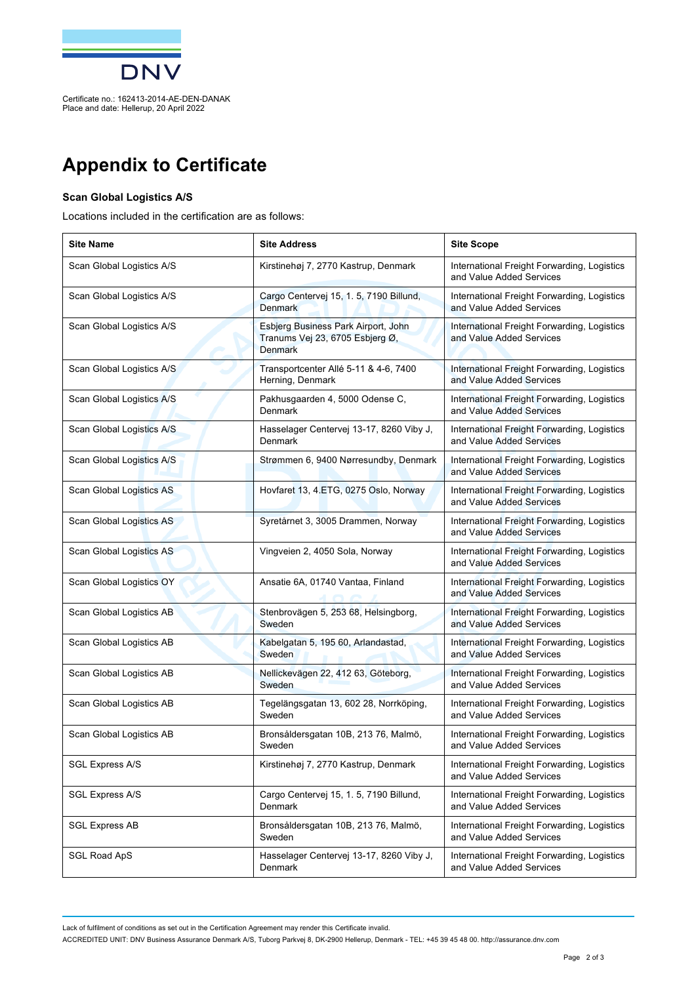

Place and date: Hellerup, 20 April 2022

## **Appendix to Certificate**

## **Scan Global Logistics A/S**

Locations included in the certification are as follows:

| <b>Site Name</b>          | <b>Site Address</b>                                                                      | <b>Site Scope</b>                                                       |
|---------------------------|------------------------------------------------------------------------------------------|-------------------------------------------------------------------------|
| Scan Global Logistics A/S | Kirstinehøj 7, 2770 Kastrup, Denmark                                                     | International Freight Forwarding, Logistics<br>and Value Added Services |
| Scan Global Logistics A/S | Cargo Centervej 15, 1. 5, 7190 Billund,<br><b>Denmark</b>                                | International Freight Forwarding, Logistics<br>and Value Added Services |
| Scan Global Logistics A/S | Esbjerg Business Park Airport, John<br>Tranums Vej 23, 6705 Esbjerg Ø,<br><b>Denmark</b> | International Freight Forwarding, Logistics<br>and Value Added Services |
| Scan Global Logistics A/S | Transportcenter Allé 5-11 & 4-6, 7400<br>Herning, Denmark                                | International Freight Forwarding, Logistics<br>and Value Added Services |
| Scan Global Logistics A/S | Pakhusgaarden 4, 5000 Odense C,<br>Denmark                                               | International Freight Forwarding, Logistics<br>and Value Added Services |
| Scan Global Logistics A/S | Hasselager Centervej 13-17, 8260 Viby J,<br>Denmark                                      | International Freight Forwarding, Logistics<br>and Value Added Services |
| Scan Global Logistics A/S | Strømmen 6, 9400 Nørresundby, Denmark                                                    | International Freight Forwarding, Logistics<br>and Value Added Services |
| Scan Global Logistics AS  | Hovfaret 13, 4.ETG, 0275 Oslo, Norway                                                    | International Freight Forwarding, Logistics<br>and Value Added Services |
| Scan Global Logistics AS  | Syretårnet 3, 3005 Drammen, Norway                                                       | International Freight Forwarding, Logistics<br>and Value Added Services |
| Scan Global Logistics AS  | Vingveien 2, 4050 Sola, Norway                                                           | International Freight Forwarding, Logistics<br>and Value Added Services |
| Scan Global Logistics OY  | Ansatie 6A, 01740 Vantaa, Finland                                                        | International Freight Forwarding, Logistics<br>and Value Added Services |
| Scan Global Logistics AB  | Stenbrovägen 5, 253 68, Helsingborg,<br>Sweden                                           | International Freight Forwarding, Logistics<br>and Value Added Services |
| Scan Global Logistics AB  | Kabelgatan 5, 195 60, Arlandastad,<br>Sweden                                             | International Freight Forwarding, Logistics<br>and Value Added Services |
| Scan Global Logistics AB  | Nellickevägen 22, 412 63, Göteborg,<br>Sweden                                            | International Freight Forwarding, Logistics<br>and Value Added Services |
| Scan Global Logistics AB  | Tegelängsgatan 13, 602 28, Norrköping,<br>Sweden                                         | International Freight Forwarding, Logistics<br>and Value Added Services |
| Scan Global Logistics AB  | Bronsåldersgatan 10B, 213 76, Malmö,<br>Sweden                                           | International Freight Forwarding, Logistics<br>and Value Added Services |
| <b>SGL Express A/S</b>    | Kirstinehøj 7, 2770 Kastrup, Denmark                                                     | International Freight Forwarding, Logistics<br>and Value Added Services |
| <b>SGL Express A/S</b>    | Cargo Centervej 15, 1. 5, 7190 Billund,<br><b>Denmark</b>                                | International Freight Forwarding, Logistics<br>and Value Added Services |
| <b>SGL Express AB</b>     | Bronsåldersgatan 10B, 213 76, Malmö,<br>Sweden                                           | International Freight Forwarding, Logistics<br>and Value Added Services |
| <b>SGL Road ApS</b>       | Hasselager Centervej 13-17, 8260 Viby J,<br>Denmark                                      | International Freight Forwarding, Logistics<br>and Value Added Services |

Lack of fulfilment of conditions as set out in the Certification Agreement may render this Certificate invalid.

ACCREDITED UNIT: DNV Business Assurance Denmark A/S, Tuborg Parkvej 8, DK-2900 Hellerup, Denmark - TEL: +45 39 45 48 00. <http://assurance.dnv.com>